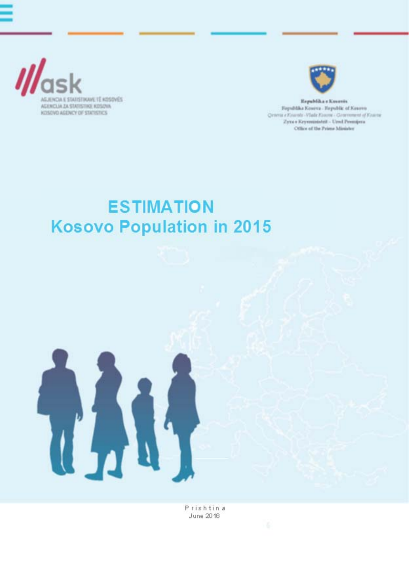



Espablika s Koveres Fayshkka Kosova - Fayshk of Kosovo Qrama e Kourale - Vlade Kourre - Groenoment of Kourre Zyne s Krysministeit - Ursd Premijera Office of the Prime Minister

## **ESTIMATION Kosovo Population in 2015**



Prishtina June 2016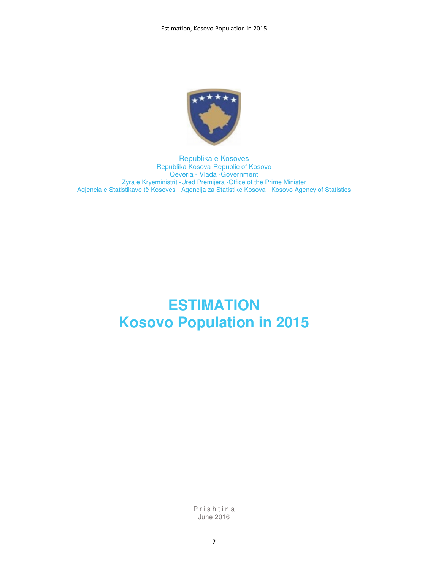

Republika e Kosoves Republika Kosova-Republic of Kosovo Qeveria - Vlada -Government Zyra e Kryeministrit -Ured Premijera -Office of the Prime Minister Agjencia e Statistikave të Kosovës - Agencija za Statistike Kosova - Kosovo Agency of Statistics

# **ESTIMATION Kosovo Population in 2015**

P r i s h t i n a June 2016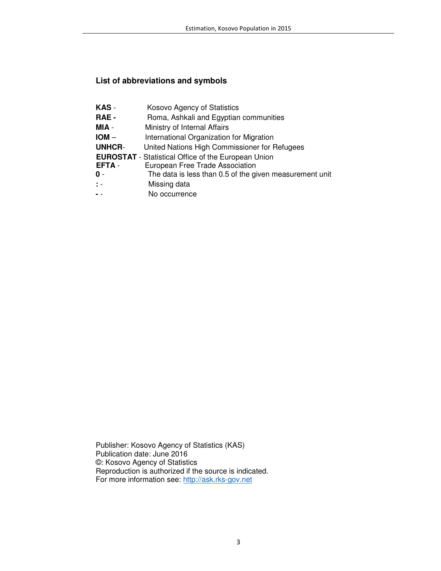## **List of abbreviations and symbols**

| KAS -          | Kosovo Agency of Statistics                                |
|----------------|------------------------------------------------------------|
| RAE -          | Roma, Ashkali and Egyptian communities                     |
| MIA -          | Ministry of Internal Affairs                               |
| $IOM -$        | International Organization for Migration                   |
| <b>UNHCR-</b>  | United Nations High Commissioner for Refugees              |
|                | <b>EUROSTAT</b> - Statistical Office of the European Union |
| <b>EFTA-</b>   | European Free Trade Association                            |
| 0 -            | The data is less than 0.5 of the given measurement unit    |
| $\mathbb{R}$ = | Missing data                                               |
|                | No occurrence                                              |

Publisher: Kosovo Agency of Statistics (KAS) Publication date: June 2016 ©: Kosovo Agency of Statistics Reproduction is authorized if the source is indicated. For more information see: <u>http://ask.rks-gov.net</u>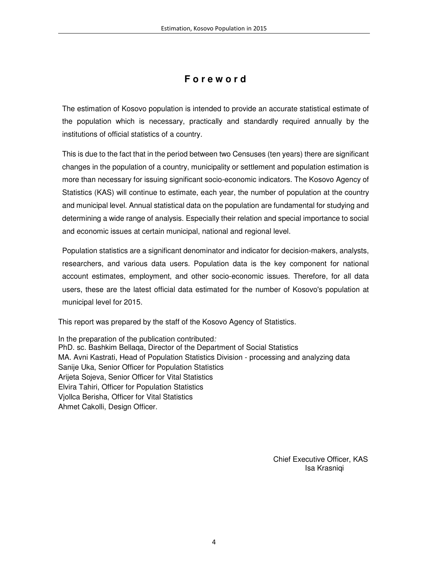## **F o r e w o r d**

The estimation of Kosovo population is intended to provide an accurate statistical estimate of the population which is necessary, practically and standardly required annually by the institutions of official statistics of a country.

This is due to the fact that in the period between two Censuses (ten years) there are significant changes in the population of a country, municipality or settlement and population estimation is more than necessary for issuing significant socio-economic indicators. The Kosovo Agency of Statistics (KAS) will continue to estimate, each year, the number of population at the country and municipal level. Annual statistical data on the population are fundamental for studying and determining a wide range of analysis. Especially their relation and special importance to social and economic issues at certain municipal, national and regional level.

Population statistics are a significant denominator and indicator for decision-makers, analysts, researchers, and various data users. Population data is the key component for national account estimates, employment, and other socio-economic issues. Therefore, for all data users, these are the latest official data estimated for the number of Kosovo's population at municipal level for 2015.

This report was prepared by the staff of the Kosovo Agency of Statistics.

In the preparation of the publication contributed: PhD. sc. Bashkim Bellaqa, Director of the Department of Social Statistics MA. Avni Kastrati, Head of Population Statistics Division - processing and analyzing data Sanije Uka, Senior Officer for Population Statistics Arijeta Sojeva, Senior Officer for Vital Statistics Elvira Tahiri, Officer for Population Statistics Vjollca Berisha, Officer for Vital Statistics Ahmet Cakolli, Design Officer.

> Chief Executive Officer, KAS Isa Krasniqi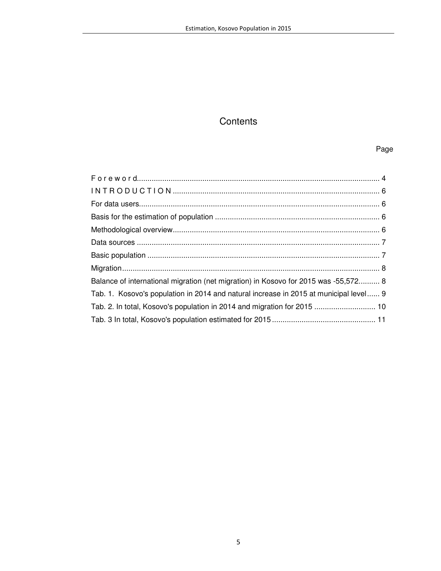## **Contents**

#### Page

| Balance of international migration (net migration) in Kosovo for 2015 was -55,572 8   |  |
|---------------------------------------------------------------------------------------|--|
| Tab. 1. Kosovo's population in 2014 and natural increase in 2015 at municipal level 9 |  |
| Tab. 2. In total, Kosovo's population in 2014 and migration for 2015  10              |  |
|                                                                                       |  |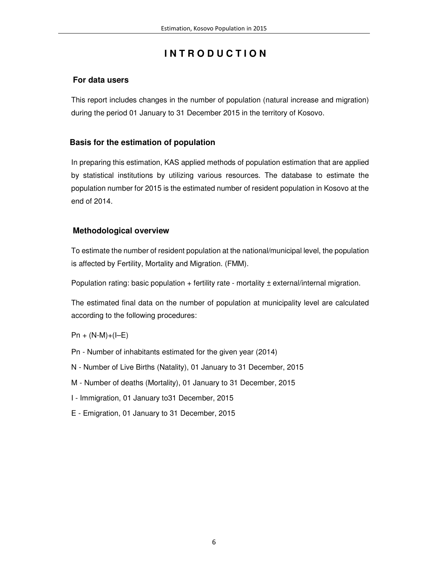## **I N T R O D U C T I O N**

### **For data users**

This report includes changes in the number of population (natural increase and migration) during the period 01 January to 31 December 2015 in the territory of Kosovo.

### **Basis for the estimation of population**

In preparing this estimation, KAS applied methods of population estimation that are applied by statistical institutions by utilizing various resources. The database to estimate the population number for 2015 is the estimated number of resident population in Kosovo at the end of 2014.

#### **Methodological overview**

To estimate the number of resident population at the national/municipal level, the population is affected by Fertility, Mortality and Migration. (FMM).

Population rating: basic population  $+$  fertility rate - mortality  $\pm$  external/internal migration.

The estimated final data on the number of population at municipality level are calculated according to the following procedures:

#### $Pn + (N-M)+(I-E)$

- Pn Number of inhabitants estimated for the given year (2014)
- N Number of Live Births (Natality), 01 January to 31 December, 2015
- M Number of deaths (Mortality), 01 January to 31 December, 2015
- I Immigration, 01 January to31 December, 2015
- E Emigration, 01 January to 31 December, 2015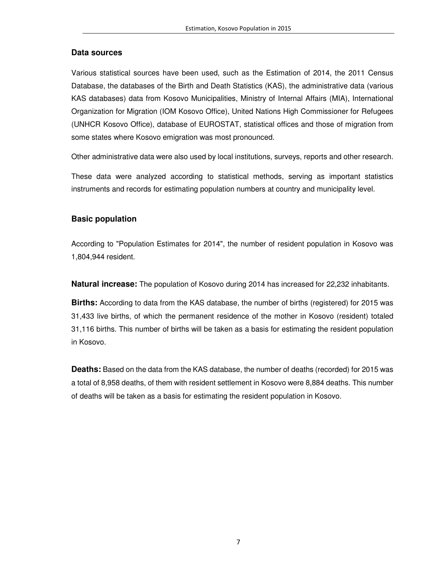#### **Data sources**

Various statistical sources have been used, such as the Estimation of 2014, the 2011 Census Database, the databases of the Birth and Death Statistics (KAS), the administrative data (various KAS databases) data from Kosovo Municipalities, Ministry of Internal Affairs (MIA), International Organization for Migration (IOM Kosovo Office), United Nations High Commissioner for Refugees (UNHCR Kosovo Office), database of EUROSTAT, statistical offices and those of migration from some states where Kosovo emigration was most pronounced.

Other administrative data were also used by local institutions, surveys, reports and other research.

These data were analyzed according to statistical methods, serving as important statistics instruments and records for estimating population numbers at country and municipality level.

#### **Basic population**

According to "Population Estimates for 2014", the number of resident population in Kosovo was 1,804,944 resident.

**Natural increase:** The population of Kosovo during 2014 has increased for 22,232 inhabitants.

**Births:** According to data from the KAS database, the number of births (registered) for 2015 was 31,433 live births, of which the permanent residence of the mother in Kosovo (resident) totaled 31,116 births. This number of births will be taken as a basis for estimating the resident population in Kosovo.

**Deaths:** Based on the data from the KAS database, the number of deaths (recorded) for 2015 was a total of 8,958 deaths, of them with resident settlement in Kosovo were 8,884 deaths. This number of deaths will be taken as a basis for estimating the resident population in Kosovo.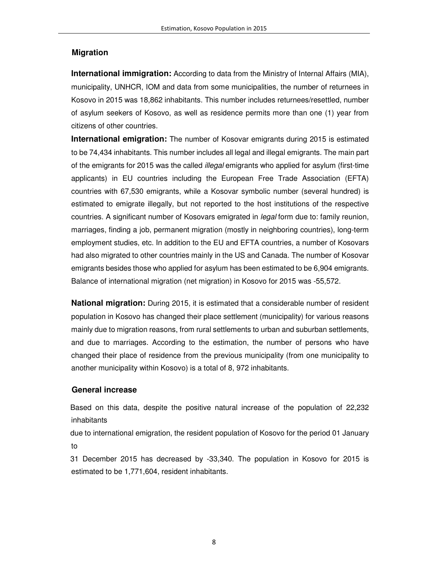#### **Migration**

**International immigration:** According to data from the Ministry of Internal Affairs (MIA), municipality, UNHCR, IOM and data from some municipalities, the number of returnees in Kosovo in 2015 was 18,862 inhabitants. This number includes returnees/resettled, number of asylum seekers of Kosovo, as well as residence permits more than one (1) year from citizens of other countries.

**International emigration:** The number of Kosovar emigrants during 2015 is estimated to be 74,434 inhabitants. This number includes all legal and illegal emigrants. The main part of the emigrants for 2015 was the called illegal emigrants who applied for asylum (first-time applicants) in EU countries including the European Free Trade Association (EFTA) countries with 67,530 emigrants, while a Kosovar symbolic number (several hundred) is estimated to emigrate illegally, but not reported to the host institutions of the respective countries. A significant number of Kosovars emigrated in legal form due to: family reunion, marriages, finding a job, permanent migration (mostly in neighboring countries), long-term employment studies, etc. In addition to the EU and EFTA countries, a number of Kosovars had also migrated to other countries mainly in the US and Canada. The number of Kosovar emigrants besides those who applied for asylum has been estimated to be 6,904 emigrants. Balance of international migration (net migration) in Kosovo for 2015 was -55,572.

**National migration:** During 2015, it is estimated that a considerable number of resident population in Kosovo has changed their place settlement (municipality) for various reasons mainly due to migration reasons, from rural settlements to urban and suburban settlements, and due to marriages. According to the estimation, the number of persons who have changed their place of residence from the previous municipality (from one municipality to another municipality within Kosovo) is a total of 8, 972 inhabitants.

#### **General increase**

 Based on this data, despite the positive natural increase of the population of 22,232 inhabitants

 due to international emigration, the resident population of Kosovo for the period 01 January to

 31 December 2015 has decreased by -33,340. The population in Kosovo for 2015 is estimated to be 1,771,604, resident inhabitants.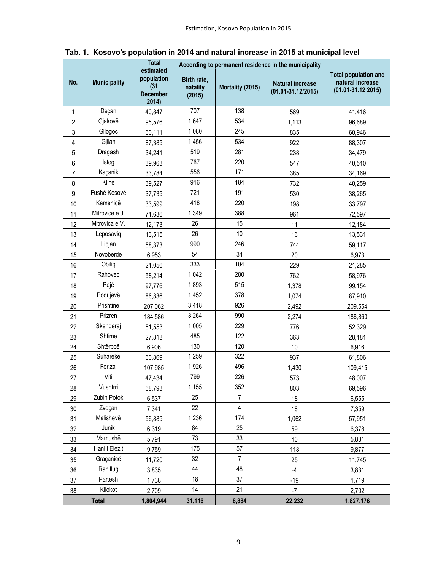|                |                     | <b>Total</b><br>estimated                      | According to permanent residence in the municipality |                  |                                                   |                                                                           |
|----------------|---------------------|------------------------------------------------|------------------------------------------------------|------------------|---------------------------------------------------|---------------------------------------------------------------------------|
| No.            | <b>Municipality</b> | population<br>(31)<br><b>December</b><br>2014) | Birth rate,<br>natality<br>(2015)                    | Mortality (2015) | <b>Natural increase</b><br>$(01.01 - 31.12/2015)$ | <b>Total population and</b><br>natural increase<br>$(01.01 - 31.12 2015)$ |
| $\mathbf{1}$   | Deçan               | 40,847                                         | 707                                                  | 138<br>569       |                                                   | 41,416                                                                    |
| $\overline{c}$ | Gjakovë             | 95,576                                         | 1,647                                                | 534              | 1,113                                             | 96,689                                                                    |
| 3              | Gllogoc             | 60,111                                         | 1,080                                                | 245              | 835                                               | 60,946                                                                    |
| 4              | Gjilan              | 87,385                                         | 1,456                                                | 534              | 922                                               | 88,307                                                                    |
| 5              | Dragash             | 34,241                                         | 519                                                  | 281              | 238                                               | 34,479                                                                    |
| 6              | Istog               | 39,963                                         | 767                                                  | 220              | 547                                               | 40,510                                                                    |
| 7              | Kaçanik             | 33,784                                         | 556                                                  | 171              | 385                                               | 34,169                                                                    |
| 8              | Klinë               | 39,527                                         | 916                                                  | 184              | 732                                               | 40,259                                                                    |
| 9              | Fushë Kosovë        | 37,735                                         | 721                                                  | 191              | 530                                               | 38,265                                                                    |
| 10             | Kamenicë            | 33,599                                         | 418                                                  | 220              | 198                                               | 33,797                                                                    |
| 11             | Mitrovicë e J.      | 71,636                                         | 1,349                                                | 388              | 961                                               | 72,597                                                                    |
| 12             | Mitrovica e V.      | 12,173                                         | 26                                                   | 15               | 11                                                | 12,184                                                                    |
| 13             | Leposaviq           | 13,515                                         | 26                                                   | 10               | 16                                                | 13,531                                                                    |
| 14             | Lipjan              | 58,373                                         | 990                                                  | 246              | 744                                               | 59,117                                                                    |
| 15             | Novobërdë           | 6,953                                          | 54                                                   | 34               | 20                                                | 6,973                                                                     |
| 16             | Obiliq              | 21,056                                         | 333                                                  | 104              | 229                                               | 21,285                                                                    |
| 17             | Rahovec             | 58,214                                         | 1,042                                                | 280              | 762                                               | 58,976                                                                    |
| 18             | Pejë                | 97,776                                         | 1,893                                                | 515              | 1,378                                             | 99,154                                                                    |
| 19             | Podujevë            | 86,836                                         | 1,452                                                | 378              | 1,074                                             | 87,910                                                                    |
| 20             | Prishtinë           | 207,062                                        | 926<br>3,418                                         |                  | 2,492                                             | 209,554                                                                   |
| 21             | Prizren             | 184,586                                        | 3,264                                                | 990              | 2,274                                             | 186,860                                                                   |
| 22             | Skenderaj           | 51,553                                         | 1,005                                                | 229              | 776                                               | 52,329                                                                    |
| 23             | Shtime              | 27,818                                         | 485                                                  | 122              | 363                                               | 28,181                                                                    |
| 24             | Shtërpcë            | 6,906                                          | 130                                                  | 120              | 10                                                | 6,916                                                                     |
| 25             | Suharekë            | 60,869                                         | 1,259                                                | 322              | 937                                               | 61,806                                                                    |
| 26             | Ferizaj             | 107,985                                        | 1,926                                                | 496              | 1,430                                             | 109,415                                                                   |
| 27             | Viti                | 47,434                                         | 799                                                  | 226              | 573                                               | 48,007                                                                    |
| 28             | Vushtrri            | 68,793                                         | 1,155                                                | 352              | 803                                               | 69,596                                                                    |
| 29             | Zubin Potok         | 6,537                                          | 25                                                   | 7                | 18                                                | 6,555                                                                     |
| 30             | Zveçan              | 7,341                                          | 22                                                   | 4                | 18                                                | 7,359                                                                     |
| 31             | Malishevë           | 56,889                                         | 1,236                                                | 174              | 1,062                                             | 57,951                                                                    |
| 32             | Junik               | 6,319                                          | 84                                                   | 25               | 59                                                | 6,378                                                                     |
| 33             | Mamushë             | 5,791                                          | 73                                                   | 33               | 40                                                | 5,831                                                                     |
| 34             | Hani i Elezit       | 9,759                                          | 175                                                  | 57               | 118                                               | 9,877                                                                     |
| 35             | Graçanicë           | 11,720                                         | 32                                                   | $\overline{7}$   | 25                                                | 11,745                                                                    |
| 36             | Ranillug            | 3,835                                          | 44                                                   | 48               | $-4$                                              | 3,831                                                                     |
| 37             | Partesh             | 1,738                                          | 18                                                   | 37               | $-19$                                             | 1,719                                                                     |
| 38             | Kllokot             | 2,709                                          | 14                                                   | 21               | $-7$                                              | 2,702                                                                     |
| <b>Total</b>   |                     | 1,804,944                                      | 31,116                                               | 8,884            | 22,232                                            | 1,827,176                                                                 |

**Tab. 1. Kosovo's population in 2014 and natural increase in 2015 at municipal level**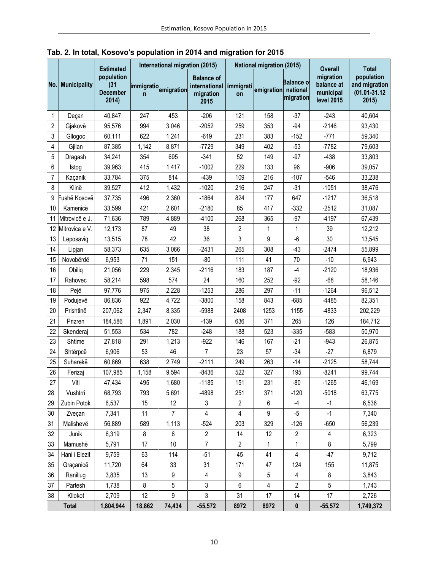|        | No. Municipality | <b>Estimated</b><br>population<br>(31)<br><b>December</b><br>2014) | International migration (2015)                   |                |                                                         | <b>National migration (2015)</b> |                |                                                 | <b>Overall</b>                                            | <b>Total</b>                                              |
|--------|------------------|--------------------------------------------------------------------|--------------------------------------------------|----------------|---------------------------------------------------------|----------------------------------|----------------|-------------------------------------------------|-----------------------------------------------------------|-----------------------------------------------------------|
|        |                  |                                                                    | immigratio <sub>emigration</sub><br>$\mathsf{n}$ |                | <b>Balance of</b><br>international<br>migration<br>2015 | immigrati<br>on                  | emigration     | Balance o <sup>.</sup><br>national<br>migration | migration<br>balance at<br>municipal<br><b>level 2015</b> | population<br>and migration<br>$(01.01 - 31.12)$<br>2015) |
| 1      | Deçan            | 40,847                                                             | 247                                              | 453            | $-206$                                                  | 121                              | 158            | $-37$                                           | $-243$                                                    | 40,604                                                    |
| 2      | Gjakovë          | 95,576                                                             | 994                                              | 3,046          | $-2052$                                                 | 259                              | 353            | $-94$                                           | $-2146$                                                   | 93,430                                                    |
| 3      | Gllogoc          | 60,111                                                             | 622                                              | 1,241          | $-619$                                                  | 231                              | 383            | $-152$                                          | $-771$                                                    | 59,340                                                    |
| 4      | Gjilan           | 87,385                                                             | 1,142                                            | 8,871          | $-7729$                                                 | 349                              | 402            | $-53$                                           | -7782                                                     | 79,603                                                    |
| 5      | Dragash          | 34,241                                                             | 354                                              | 695            | $-341$                                                  | 52                               | 149            | $-97$                                           | $-438$                                                    | 33,803                                                    |
| 6      | Istog            | 39,963                                                             | 415                                              | 1,417          | $-1002$                                                 | 229                              | 133            | 96                                              | $-906$                                                    | 39,057                                                    |
| 7      | Kaçanik          | 33,784                                                             | 375                                              | 814            | $-439$                                                  | 109                              | 216            | $-107$                                          | $-546$                                                    | 33,238                                                    |
| 8      | Klinë            | 39,527                                                             | 412                                              | 1,432          | $-1020$                                                 | 216                              | 247            | $-31$                                           | $-1051$                                                   | 38,476                                                    |
| 9      | Fushë Kosovë     | 37,735                                                             | 496                                              | 2,360          | $-1864$                                                 | 824                              | 177            | 647                                             | $-1217$                                                   | 36,518                                                    |
| 10     | Kamenicë         | 33,599                                                             | 421                                              | 2,601          | $-2180$                                                 | 85                               | 417            | $-332$                                          | $-2512$                                                   | 31,087                                                    |
| 11     | Mitrovicë e J.   | 71,636                                                             | 789                                              | 4,889          | $-4100$                                                 | 268                              | 365            | $-97$                                           | $-4197$                                                   | 67,439                                                    |
| 12     | Mitrovica e V.   | 12,173                                                             | 87                                               | 49             | 38                                                      | $\overline{2}$                   | 1              | 1                                               | 39                                                        | 12,212                                                    |
| 13     | Leposaviq        | 13,515                                                             | 78                                               | 42             | 36                                                      | 3                                | 9              | $-6$                                            | 30                                                        | 13,545                                                    |
| 14     | Lipjan           | 58,373                                                             | 635                                              | 3,066          | $-2431$                                                 | 265                              | 308            | $-43$                                           | $-2474$                                                   | 55,899                                                    |
| 15     | Novobërdë        | 6,953                                                              | 71                                               | 151            | $-80$                                                   | 111                              | 41             | 70                                              | $-10$                                                     | 6,943                                                     |
| 16     | Obilig           | 21,056                                                             | 229                                              | 2,345          | $-2116$                                                 | 183                              | 187            | $-4$                                            | $-2120$                                                   | 18,936                                                    |
| 17     | Rahovec          | 58,214                                                             | 598                                              | 574            | 24                                                      | 160                              | 252            | $-92$                                           | $-68$                                                     | 58,146                                                    |
| 18     | Pejë             | 97,776                                                             | 975                                              | 2,228          | $-1253$                                                 | 286                              | 297            | $-11$                                           | $-1264$                                                   | 96,512                                                    |
| 19     | Podujevë         | 86,836                                                             | 922                                              | 4,722          | $-3800$                                                 | 158                              | 843            | $-685$                                          | $-4485$                                                   | 82,351                                                    |
| 20     | Prishtinë        | 207,062                                                            | 2,347                                            | 8,335          | $-5988$                                                 | 2408                             | 1253           | 1155                                            | -4833                                                     | 202,229                                                   |
| 21     | Prizren          | 184,586                                                            | 1,891                                            | 2,030          | $-139$                                                  | 636                              | 371            | 265                                             | 126                                                       | 184,712                                                   |
| 22     | Skenderaj        | 51,553                                                             | 534                                              | 782            | $-248$                                                  | 188                              | 523            | $-335$                                          | $-583$                                                    | 50,970                                                    |
| 23     | Shtime           | 27,818                                                             | 291                                              | 1,213          | $-922$                                                  | 146                              | 167            | $-21$                                           | $-943$                                                    | 26,875                                                    |
| 24     | Shtërpcë         | 6,906                                                              | 53                                               | 46             | 7                                                       | 23                               | 57             | $-34$                                           | $-27$                                                     | 6,879                                                     |
| 25     | Suharekë         | 60,869                                                             | 638                                              | 2,749          | $-2111$                                                 | 249                              | 263            | $-14$                                           | $-2125$                                                   | 58,744                                                    |
| 26     | Ferizaj          | 107,985                                                            | 1,158                                            | 9,594          | $-8436$                                                 | 522                              | 327            | 195                                             | $-8241$                                                   | 99,744                                                    |
| $27\,$ | Viti             | 47,434                                                             | 495                                              | 1,680          | $-1185$                                                 | 151                              | 231            | $-80$                                           | $-1265$                                                   | 46,169                                                    |
| 28     | Vushtrri         | 68,793                                                             | 793                                              | 5,691          | -4898                                                   | 251                              | 371            | $-120$                                          | $-5018$                                                   | 63,775                                                    |
| 29     | Zubin Potok      | 6,537                                                              | 15                                               | 12             | 3                                                       | $\overline{2}$                   | 6              | -4                                              | $-1$                                                      | 6,536                                                     |
| 30     | Zveçan           | 7,341                                                              | 11                                               | $\overline{7}$ | $\overline{4}$                                          | $\overline{4}$                   | 9              | -5                                              | $-1$                                                      | 7,340                                                     |
| 31     | Malishevë        | 56,889                                                             | 589                                              | 1,113          | $-524$                                                  | 203                              | 329            | $-126$                                          | $-650$                                                    | 56,239                                                    |
| 32     | Junik            | 6,319                                                              | 8                                                | 6              | $\overline{2}$                                          | 14                               | 12             | $\overline{c}$                                  | 4                                                         | 6,323                                                     |
| 33     | Mamushë          | 5,791                                                              | 17                                               | 10             | $\overline{7}$                                          | $\overline{2}$                   | 1              | 1                                               | 8                                                         | 5,799                                                     |
| 34     | Hani i Elezit    | 9,759                                                              | 63                                               | 114            | $-51$                                                   | 45                               | 41             | 4                                               | $-47$                                                     | 9,712                                                     |
| 35     | Graçanicë        | 11,720                                                             | 64                                               | 33             | 31                                                      | 171                              | 47             | 124                                             | 155                                                       | 11,875                                                    |
| 36     | Ranillug         | 3,835                                                              | 13                                               | 9              | $\overline{4}$                                          | 9                                | 5              | 4                                               | 8                                                         | 3,843                                                     |
| 37     | Partesh          | 1,738                                                              | 8                                                | 5              | 3                                                       | 6                                | $\overline{4}$ | 2                                               | 5                                                         | 1,743                                                     |
| 38     | Kllokot          | 2,709                                                              | 12                                               | 9              | 3                                                       | 31                               | 17             | 14                                              | 17                                                        | 2,726                                                     |
|        | Total            | 1,804,944                                                          | 18,862                                           | 74,434         | $-55,572$                                               | 8972                             | 8972           | 0                                               | $-55,572$                                                 | 1,749,372                                                 |

 **Tab. 2. In total, Kosovo's population in 2014 and migration for 2015**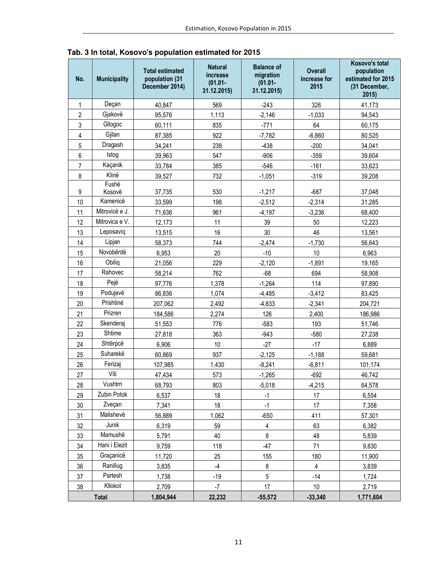| No.            | <b>Municipality</b> | <b>Total estimated</b><br>population (31<br>December 2014) | <b>Natural</b><br>increase<br>$(01.01 -$<br>31.12.2015) | <b>Balance of</b><br>migration<br>$(01.01 -$<br>31.12.2015) | <b>Overall</b><br>increase for<br>2015 | Kosovo's total<br>population<br>estimated for 2015<br>(31 December,<br>2015) |
|----------------|---------------------|------------------------------------------------------------|---------------------------------------------------------|-------------------------------------------------------------|----------------------------------------|------------------------------------------------------------------------------|
| 1              | Deçan               | 40,847                                                     | 569                                                     | $-243$                                                      | 326                                    | 41,173                                                                       |
| $\overline{2}$ | Gjakovë             | 95,576                                                     | 1,113                                                   | $-2,146$                                                    | $-1,033$                               | 94,543                                                                       |
| 3              | Gllogoc             | 60,111                                                     | 835                                                     | $-771$                                                      | 64                                     | 60,175                                                                       |
| 4              | Gjilan              | 87,385                                                     | 922                                                     | $-7,782$                                                    | $-6,860$                               | 80,525                                                                       |
| 5              | Dragash             | 34,241                                                     | 238                                                     | $-438$                                                      | $-200$                                 | 34,041                                                                       |
| 6              | Istog               | 39,963                                                     | 547                                                     | $-906$                                                      | $-359$                                 | 39,604                                                                       |
| $\overline{7}$ | Kaçanik             | 33,784                                                     | 385                                                     | $-546$                                                      | $-161$                                 | 33,623                                                                       |
| 8              | Klinë               | 39,527                                                     | 732                                                     | $-1,051$                                                    | $-319$                                 | 39,208                                                                       |
|                | Fushë               |                                                            |                                                         |                                                             |                                        |                                                                              |
| 9              | Kosovë              | 37,735                                                     | 530                                                     | $-1,217$                                                    | $-687$                                 | 37,048                                                                       |
| 10             | Kamenicë            | 33,599                                                     | 198                                                     | $-2,512$                                                    | $-2,314$                               | 31,285                                                                       |
| 11             | Mitrovicë e J.      | 71,636                                                     | 961                                                     | $-4,197$                                                    | $-3,236$                               | 68,400                                                                       |
| 12             | Mitrovica e V.      | 12,173                                                     | 11                                                      | 39                                                          | 50                                     | 12,223                                                                       |
| 13             | Leposaviq           | 13,515                                                     | 16                                                      | 30                                                          | 46                                     | 13,561                                                                       |
| 14             | Lipjan              | 58,373                                                     | 744                                                     | $-2,474$                                                    | $-1,730$                               | 56,643                                                                       |
| 15             | Novobërdë           | 6,953                                                      | 20                                                      | $-10$                                                       | 10                                     | 6,963                                                                        |
| 16             | Obilig              | 21,056                                                     | 229                                                     | $-2,120$                                                    | $-1,891$                               | 19,165                                                                       |
| 17             | Rahovec             | 58,214                                                     | 762                                                     | $-68$                                                       | 694                                    | 58,908                                                                       |
| 18             | Pejë                | 97,776                                                     | 1,378                                                   | $-1,264$                                                    | 114                                    | 97,890                                                                       |
| 19             | Podujevë            | 86,836                                                     | 1,074                                                   | $-4,485$                                                    | $-3,412$                               | 83,425                                                                       |
| 20             | Prishtinë           | 207,062                                                    | 2,492                                                   | $-4,833$                                                    | $-2,341$                               | 204,721                                                                      |
| 21             | Prizren             | 184,586                                                    | 2,274                                                   | 126                                                         | 2,400                                  | 186,986                                                                      |
| 22             | Skenderaj           | 51,553                                                     | 776                                                     | $-583$                                                      | 193                                    | 51,746                                                                       |
| 23             | Shtime              | 27,818                                                     | 363                                                     | $-943$                                                      | $-580$                                 | 27,238                                                                       |
| 24             | Shtërpcë            | 6,906                                                      | 10                                                      | $-27$                                                       | $-17$                                  | 6,889                                                                        |
| 25             | Suharekë            | 60,869                                                     | 937                                                     | $-2,125$                                                    | $-1,188$                               | 59,681                                                                       |
| 26             | Ferizaj             | 107,985                                                    | 1,430                                                   | $-8,241$                                                    | $-6,811$                               | 101,174                                                                      |
| 27             | Viti                | 47,434                                                     | 573                                                     | $-1,265$                                                    | $-692$                                 | 46,742                                                                       |
| 28             | Vushtrri            | 68,793                                                     | 803                                                     | $-5,018$                                                    | $-4,215$                               | 64,578                                                                       |
| 29             | Zubin Potok         | 6,537                                                      | 18                                                      | $-1$                                                        | 17                                     | 6,554                                                                        |
| $30\,$         | Zveçan              | 7,341                                                      | 18                                                      | $-1$                                                        | 17                                     | 7,358                                                                        |
| 31             | Malishevë           | 56,889                                                     | 1,062                                                   | $-650$                                                      | 411                                    | 57,301                                                                       |
| 32             | Junik               | 6,319                                                      | 59                                                      | $\overline{4}$                                              | 63                                     | 6,382                                                                        |
| 33             | Mamushë             | 5,791                                                      | 40                                                      | $\bf 8$                                                     | 48                                     | 5,839                                                                        |
| 34             | Hani i Elezit       | 9,759                                                      | 118                                                     | $-47$                                                       | 71                                     | 9,830                                                                        |
| 35             | Graçanicë           | 11,720                                                     | 25                                                      | 155                                                         | 180                                    | 11,900                                                                       |
| 36             | Ranillug            | 3,835                                                      | $-4$                                                    | 8                                                           | 4                                      | 3,839                                                                        |
| 37             | Partesh             | 1,738                                                      | $-19$                                                   | 5                                                           | $-14$                                  | 1,724                                                                        |
| 38             | Kllokot             | 2,709                                                      | $-7$                                                    | 17                                                          | 10                                     | 2,719                                                                        |
| <b>Total</b>   |                     | 1,804,944                                                  | 22,232                                                  | $-55,572$                                                   | $-33,340$                              | 1,771,604                                                                    |

 **Tab. 3 In total, Kosovo's population estimated for 2015**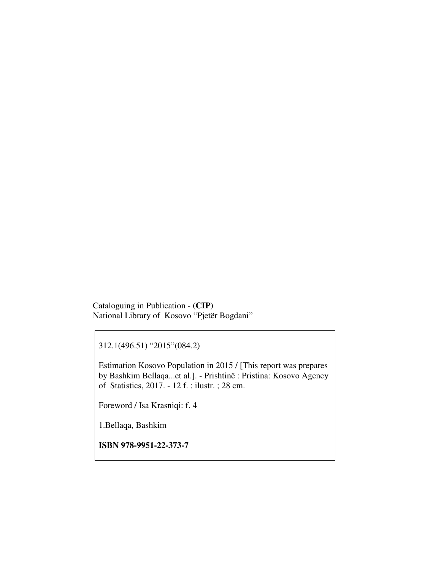Cataloguing in Publication - **(CIP)**  National Library of Kosovo "Pjetër Bogdani"

312.1(496.51) "2015"(084.2)

Estimation Kosovo Population in 2015 / [This report was prepares by Bashkim Bellaqa...et al.]. - Prishtinë : Pristina: Kosovo Agency of Statistics, 2017. - 12 f. : ilustr. ; 28 cm.

Foreword / Isa Krasniqi: f. 4

1.Bellaqa, Bashkim

**ISBN 978-9951-22-373-7**